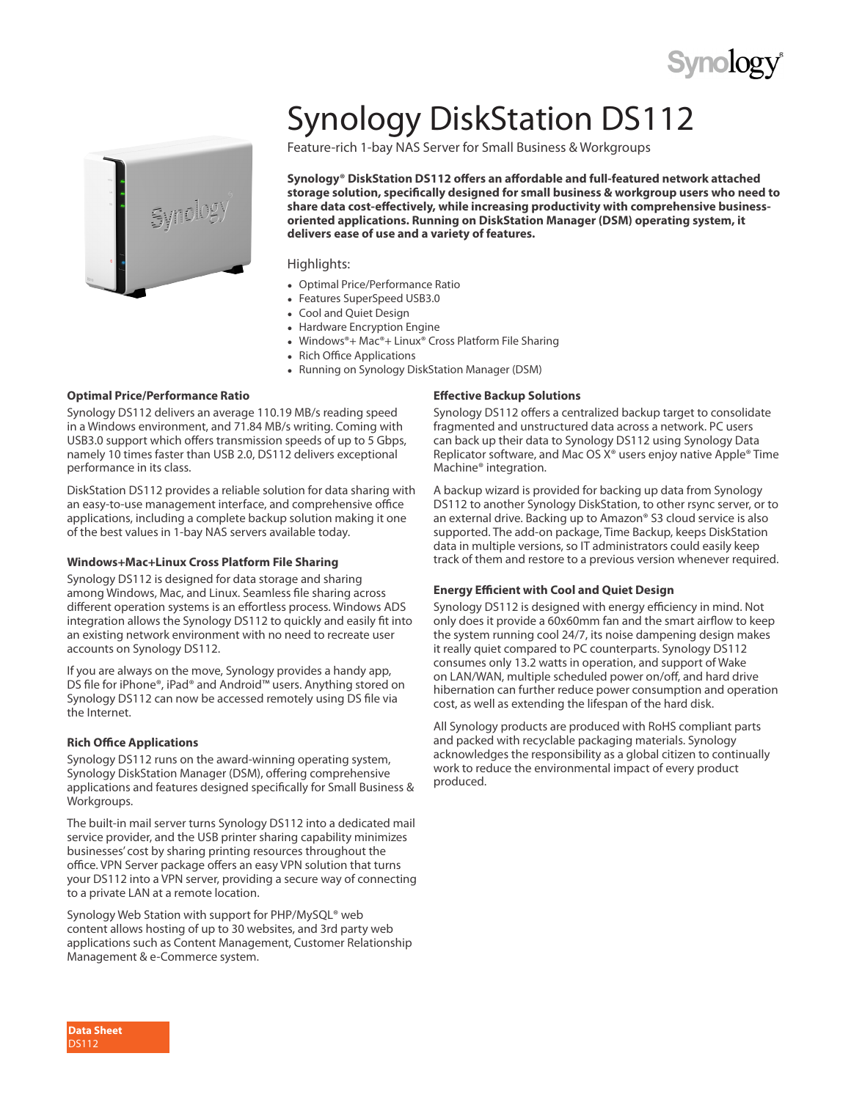## Synology DiskStation DS112

Feature-rich 1-bay NAS Server for Small Business & Workgroups

**Synology® DiskStation DS112 offers an affordable and full-featured network attached storage solution, specifically designed for small business & workgroup users who need to share data cost-effectively, while increasing productivity with comprehensive businessoriented applications. Running on DiskStation Manager (DSM) operating system, it delivers ease of use and a variety of features.**

#### Highlights:

- **●** Optimal Price/Performance Ratio
- **●** Features SuperSpeed USB3.0
- **●** Cool and Quiet Design
- **●** Hardware Encryption Engine
- **●** Windows®+ Mac®+ Linux® Cross Platform File Sharing
- **●** Rich Office Applications
- **●** Running on Synology DiskStation Manager (DSM)

#### **Optimal Price/Performance Ratio**

Synology DS112 delivers an average 110.19 MB/s reading speed in a Windows environment, and 71.84 MB/s writing. Coming with USB3.0 support which offers transmission speeds of up to 5 Gbps, namely 10 times faster than USB 2.0, DS112 delivers exceptional performance in its class.

DiskStation DS112 provides a reliable solution for data sharing with an easy-to-use management interface, and comprehensive office applications, including a complete backup solution making it one of the best values in 1-bay NAS servers available today.

#### **Windows+Mac+Linux Cross Platform File Sharing**

Synology DS112 is designed for data storage and sharing among Windows, Mac, and Linux. Seamless file sharing across different operation systems is an effortless process. Windows ADS integration allows the Synology DS112 to quickly and easily fit into an existing network environment with no need to recreate user accounts on Synology DS112.

If you are always on the move, Synology provides a handy app, DS file for iPhone®, iPad® and Android™ users. Anything stored on Synology DS112 can now be accessed remotely using DS file via the Internet.

#### **Rich Office Applications**

Synology DS112 runs on the award-winning operating system, Synology DiskStation Manager (DSM), offering comprehensive applications and features designed specifically for Small Business & Workgroups.

The built-in mail server turns Synology DS112 into a dedicated mail service provider, and the USB printer sharing capability minimizes businesses' cost by sharing printing resources throughout the office. VPN Server package offers an easy VPN solution that turns your DS112 into a VPN server, providing a secure way of connecting to a private LAN at a remote location.

Synology Web Station with support for PHP/MySQL® web content allows hosting of up to 30 websites, and 3rd party web applications such as Content Management, Customer Relationship Management & e-Commerce system.

#### **Effective Backup Solutions**

Synology DS112 offers a centralized backup target to consolidate fragmented and unstructured data across a network. PC users can back up their data to Synology DS112 using Synology Data Replicator software, and Mac OS X® users enjoy native Apple® Time Machine® integration.

A backup wizard is provided for backing up data from Synology DS112 to another Synology DiskStation, to other rsync server, or to an external drive. Backing up to Amazon® S3 cloud service is also supported. The add-on package, Time Backup, keeps DiskStation data in multiple versions, so IT administrators could easily keep track of them and restore to a previous version whenever required.

#### **Energy Efficient with Cool and Quiet Design**

Synology DS112 is designed with energy efficiency in mind. Not only does it provide a 60x60mm fan and the smart airflow to keep the system running cool 24/7, its noise dampening design makes it really quiet compared to PC counterparts. Synology DS112 consumes only 13.2 watts in operation, and support of Wake on LAN/WAN, multiple scheduled power on/off, and hard drive hibernation can further reduce power consumption and operation cost, as well as extending the lifespan of the hard disk.

All Synology products are produced with RoHS compliant parts and packed with recyclable packaging materials. Synology acknowledges the responsibility as a global citizen to continually work to reduce the environmental impact of every product produced.